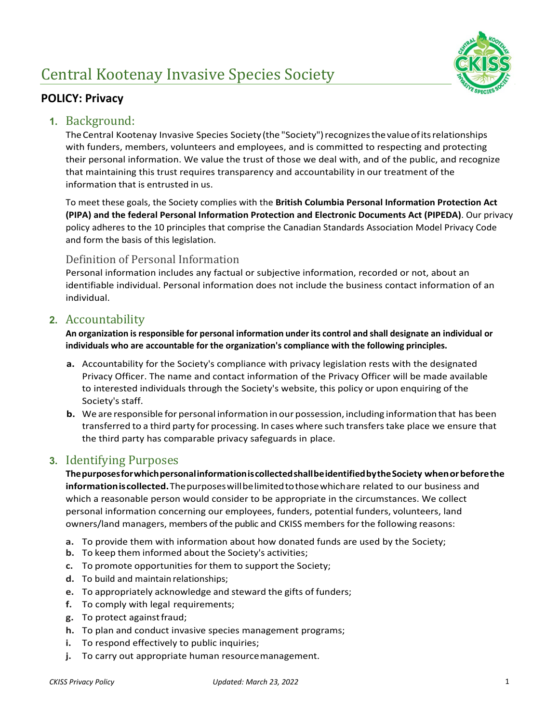# Central Kootenay Invasive Species Society



## **POLICY: Privacy**

#### **1.** Background:

The Central Kootenay Invasive Species Society (the "Society") recognizes the value of its relationships with funders, members, volunteers and employees, and is committed to respecting and protecting their personal information. We value the trust of those we deal with, and of the public, and recognize that maintaining this trust requires transparency and accountability in our treatment of the information that is entrusted in us.

To meet these goals, the Society complies with the **British Columbia Personal Information Protection Act (PIPA) and the federal Personal Information Protection and Electronic Documents Act (PIPEDA)**. Our privacy policy adheres to the 10 principles that comprise the Canadian Standards Association Model Privacy Code and form the basis of this legislation.

#### Definition of Personal Information

Personal information includes any factual or subjective information, recorded or not, about an identifiable individual. Personal information does not include the business contact information of an individual.

### **2.** Accountability

**An organization isresponsible for personal information under its control and shall designate an individual or individuals who are accountable for the organization's compliance with the following principles.**

- **a.** Accountability for the Society's compliance with privacy legislation rests with the designated Privacy Officer. The name and contact information of the Privacy Officer will be made available to interested individuals through the Society's website, this policy or upon enquiring of the Society's staff.
- **b.** We are responsible for personal information in our possession, including information that has been transferred to a third party for processing. In cases where such transferstake place we ensure that the third party has comparable privacy safeguards in place.

## **3.** Identifying Purposes

**ThepurposesforwhichpersonalinformationiscollectedshallbeidentifiedbytheSociety whenorbeforethe informationiscollected.**Thepurposeswillbelimited to thosewhichare related to our business and which a reasonable person would consider to be appropriate in the circumstances. We collect personal information concerning our employees, funders, potential funders, volunteers, land owners/land managers, members of the public and CKISS members forthe following reasons:

- **a.** To provide them with information about how donated funds are used by the Society;
- **b.** To keep them informed about the Society's activities;
- **c.** To promote opportunities for them to support the Society;
- **d.** To build and maintain relationships;
- **e.** To appropriately acknowledge and steward the gifts of funders;
- **f.** To comply with legal requirements;
- **g.** To protect againstfraud;
- **h.** To plan and conduct invasive species management programs;
- **i.** To respond effectively to public inquiries;
- **j.** To carry out appropriate human resourcemanagement.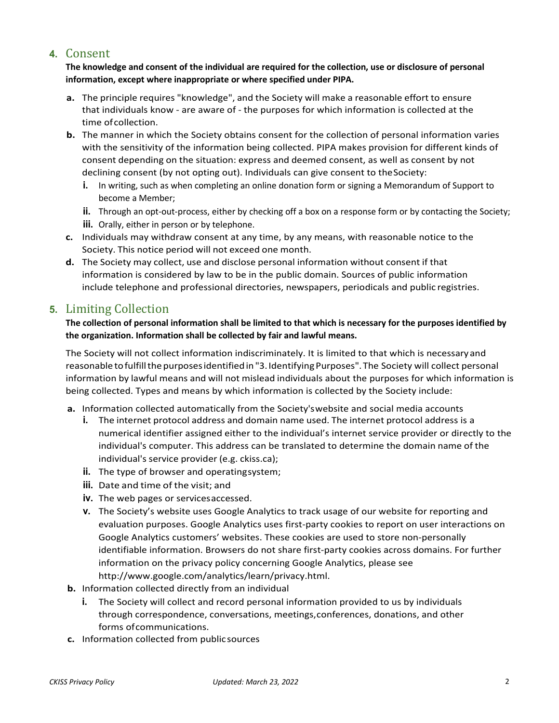# **4.** Consent

**The knowledge and consent of the individual are required for the collection, use or disclosure of personal information, except where inappropriate or where specified under PIPA.** 

- **a.** The principle requires "knowledge", and the Society will make a reasonable effort to ensure that individuals know - are aware of - the purposes for which information is collected at the time ofcollection.
- **b.** The manner in which the Society obtains consent for the collection of personal information varies with the sensitivity of the information being collected. PIPA makes provision for different kinds of consent depending on the situation: express and deemed consent, as well as consent by not declining consent (by not opting out). Individuals can give consent to the Society:
	- **i.** In writing, such as when completing an online donation form or signing a Memorandum of Support to become a Member;
	- **ii.** Through an opt-out-process, either by checking off a box on a response form or by contacting the Society;
	- **iii.** Orally, either in person or by telephone.
- **c.** Individuals may withdraw consent at any time, by any means, with reasonable notice to the Society. This notice period will not exceed one month.
- **d.** The Society may collect, use and disclose personal information without consent if that information is considered by law to be in the public domain. Sources of public information include telephone and professional directories, newspapers, periodicals and public registries.

# **5.** Limiting Collection

#### **The collection of personal information shall be limited to that which is necessary for the purposes identified by the organization. Information shall be collected by fair and lawful means.**

The Society will not collect information indiscriminately. It is limited to that which is necessaryand reasonable to fulfill the purposes identified in "3. Identifying Purposes". The Society will collect personal information by lawful means and will not mislead individuals about the purposes for which information is being collected. Types and means by which information is collected by the Society include:

- **a.** Information collected automatically from the Society'swebsite and social media accounts
	- **i.** The internet protocol address and domain name used. The internet protocol address is a numerical identifier assigned either to the individual's internet service provider or directly to the individual's computer. This address can be translated to determine the domain name of the individual's service provider (e.g. ckiss.ca);
	- **ii.** The type of browser and operating system;
	- **iii.** Date and time of the visit; and
	- **iv.** The web pages or servicesaccessed.
	- **v.** The Society's website uses Google Analytics to track usage of our website for reporting and evaluation purposes. Google Analytics uses first-party cookies to report on user interactions on Google Analytics customers' websites. These cookies are used to store non-personally identifiable information. Browsers do not share first-party cookies across domains. For further information on the privacy policy concerning Google Analytics, please see http://www.google.com/analytics/learn/privacy.html.
- **b.** Information collected directly from an individual
	- **i.** The Society will collect and record personal information provided to us by individuals through correspondence, conversations, meetings,conferences, donations, and other forms ofcommunications.
- **c.** Information collected from public sources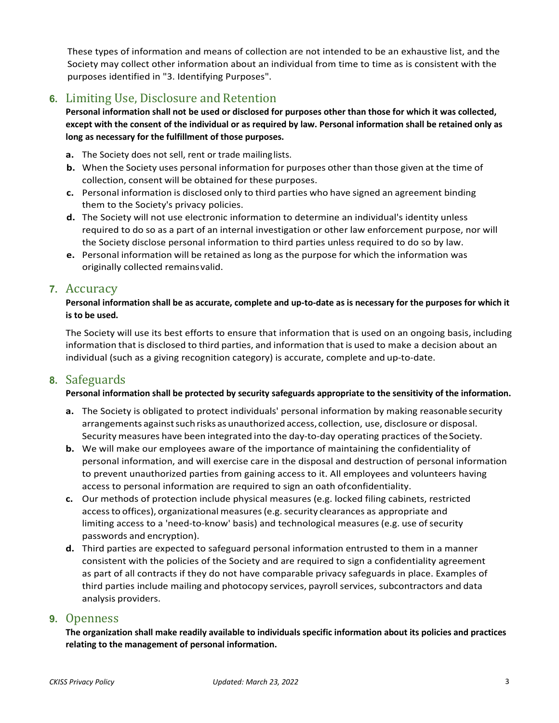These types of information and means of collection are not intended to be an exhaustive list, and the Society may collect other information about an individual from time to time as is consistent with the purposes identified in "3. Identifying Purposes".

# **6.** Limiting Use, Disclosure and Retention

**Personal information shall not be used or disclosed for purposes other than those for which it was collected, except with the consent of the individual or as required by law. Personal information shall be retained only as long as necessary for the fulfillment of those purposes.**

- **a.** The Society does not sell, rent or trade mailinglists.
- **b.** When the Society uses personal information for purposes other than those given at the time of collection, consent will be obtained for these purposes.
- **c.** Personal information is disclosed only to third parties who have signed an agreement binding them to the Society's privacy policies.
- **d.** The Society will not use electronic information to determine an individual's identity unless required to do so as a part of an internal investigation or other law enforcement purpose, nor will the Society disclose personal information to third parties unless required to do so by law.
- **e.** Personal information will be retained as long as the purpose for which the information was originally collected remainsvalid.

#### **7.** Accuracy

#### **Personal information shall be as accurate, complete and up-to-date as is necessary for the purposes for which it is to be used.**

The Society will use its best efforts to ensure that information that is used on an ongoing basis, including information that is disclosed to third parties, and information that is used to make a decision about an individual (such as a giving recognition category) is accurate, complete and up-to-date.

#### **8.** Safeguards

#### **Personal information shall be protected by security safeguards appropriate to the sensitivity of the information.**

- **a.** The Society is obligated to protect individuals' personal information by making reasonable security arrangements against such risks as unauthorized access, collection, use, disclosure or disposal. Security measures have been integrated into the day-to-day operating practices of the Society.
- **b.** We will make our employees aware of the importance of maintaining the confidentiality of personal information, and will exercise care in the disposal and destruction of personal information to prevent unauthorized parties from gaining access to it. All employees and volunteers having access to personal information are required to sign an oath ofconfidentiality.
- **c.** Our methods of protection include physical measures (e.g. locked filing cabinets, restricted access to offices), organizational measures (e.g. security clearances as appropriate and limiting access to a 'need-to-know' basis) and technological measures (e.g. use of security passwords and encryption).
- **d.** Third parties are expected to safeguard personal information entrusted to them in a manner consistent with the policies of the Society and are required to sign a confidentiality agreement as part of all contracts if they do not have comparable privacy safeguards in place. Examples of third parties include mailing and photocopy services, payroll services, subcontractors and data analysis providers.

#### **9.** Openness

**The organization shall make readily available to individuals specific information about its policies and practices relating to the management of personal information.**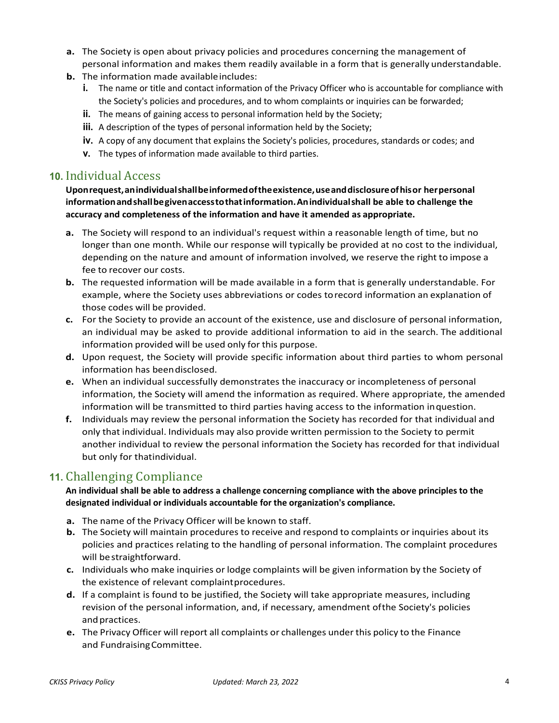- **a.** The Society is open about privacy policies and procedures concerning the management of personal information and makes them readily available in a form that is generally understandable.
- **b.** The information made available includes:
	- **i.** The name or title and contact information of the Privacy Officer who is accountable for compliance with the Society's policies and procedures, and to whom complaints or inquiries can be forwarded;
	- **ii.** The means of gaining access to personal information held by the Society;
	- **iii.** A description of the types of personal information held by the Society;
	- **iv.** A copy of any document that explains the Society's policies, procedures, standards or codes; and
	- **v.** The types of information made available to third parties.

#### **10.** Individual Access

**Uponrequest,anindividualshallbeinformedoftheexistence,useanddisclosureofhisor herpersonal informationandshallbegivenaccesstothatinformation.Anindividualshall be able to challenge the accuracy and completeness of the information and have it amended as appropriate.**

- **a.** The Society will respond to an individual's request within a reasonable length of time, but no longer than one month. While our response will typically be provided at no cost to the individual, depending on the nature and amount of information involved, we reserve the right to impose a fee to recover our costs.
- **b.** The requested information will be made available in a form that is generally understandable. For example, where the Society uses abbreviations or codes torecord information an explanation of those codes will be provided.
- **c.** For the Society to provide an account of the existence, use and disclosure of personal information, an individual may be asked to provide additional information to aid in the search. The additional information provided will be used only for this purpose.
- **d.** Upon request, the Society will provide specific information about third parties to whom personal information has beendisclosed.
- **e.** When an individual successfully demonstrates the inaccuracy or incompleteness of personal information, the Society will amend the information as required. Where appropriate, the amended information will be transmitted to third parties having access to the information inquestion.
- **f.** Individuals may review the personal information the Society has recorded for that individual and only that individual. Individuals may also provide written permission to the Society to permit another individual to review the personal information the Society has recorded for that individual but only for thatindividual.

# **11.** Challenging Compliance

**An individual shall be able to address a challenge concerning compliance with the above principles to the designated individual or individuals accountable for the organization's compliance.**

- **a.** The name of the Privacy Officer will be known to staff.
- **b.** The Society will maintain procedures to receive and respond to complaints or inquiries about its policies and practices relating to the handling of personal information. The complaint procedures will bestraightforward.
- **c.** Individuals who make inquiries or lodge complaints will be given information by the Society of the existence of relevant complaintprocedures.
- **d.** If a complaint is found to be justified, the Society will take appropriate measures, including revision of the personal information, and, if necessary, amendment ofthe Society's policies and practices.
- **e.** The Privacy Officer will report all complaints or challenges under this policy to the Finance and FundraisingCommittee.